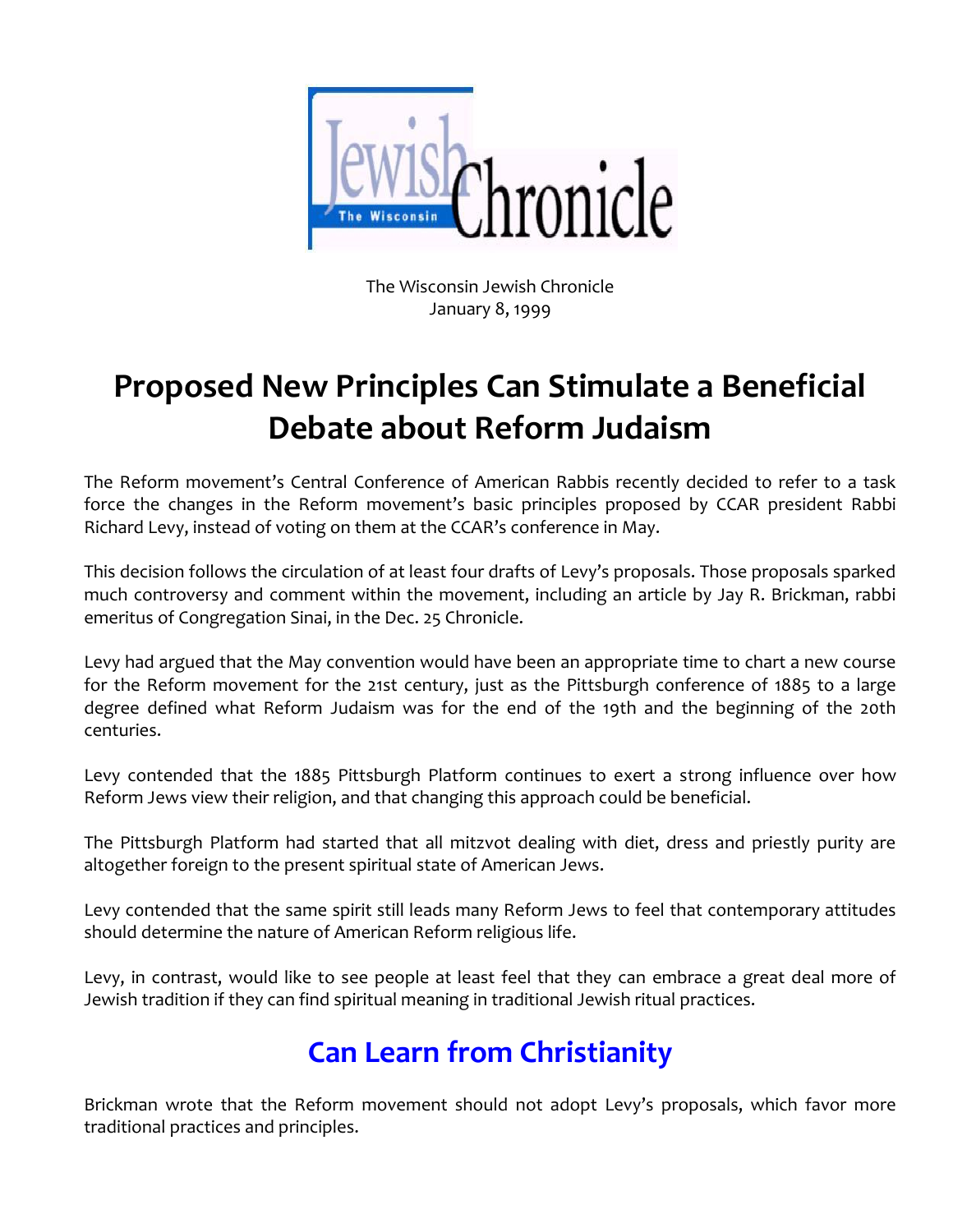

The Wisconsin Jewish Chronicle January 8, 1999

## **Proposed New Principles Can Stimulate a Beneficial Debate about Reform Judaism**

The Reform movement's Central Conference of American Rabbis recently decided to refer to a task force the changes in the Reform movement's basic principles proposed by CCAR president Rabbi Richard Levy, instead of voting on them at the CCAR's conference in May.

This decision follows the circulation of at least four drafts of Levy's proposals. Those proposals sparked much controversy and comment within the movement, including an article by Jay R. Brickman, rabbi emeritus of Congregation Sinai, in the Dec. 25 Chronicle.

Levy had argued that the May convention would have been an appropriate time to chart a new course for the Reform movement for the 21st century, just as the Pittsburgh conference of 1885 to a large degree defined what Reform Judaism was for the end of the 19th and the beginning of the 20th centuries.

Levy contended that the 1885 Pittsburgh Platform continues to exert a strong influence over how Reform Jews view their religion, and that changing this approach could be beneficial.

The Pittsburgh Platform had started that all mitzvot dealing with diet, dress and priestly purity are altogether foreign to the present spiritual state of American Jews.

Levy contended that the same spirit still leads many Reform Jews to feel that contemporary attitudes should determine the nature of American Reform religious life.

Levy, in contrast, would like to see people at least feel that they can embrace a great deal more of Jewish tradition if they can find spiritual meaning in traditional Jewish ritual practices.

## **Can Learn from Christianity**

Brickman wrote that the Reform movement should not adopt Levy's proposals, which favor more traditional practices and principles.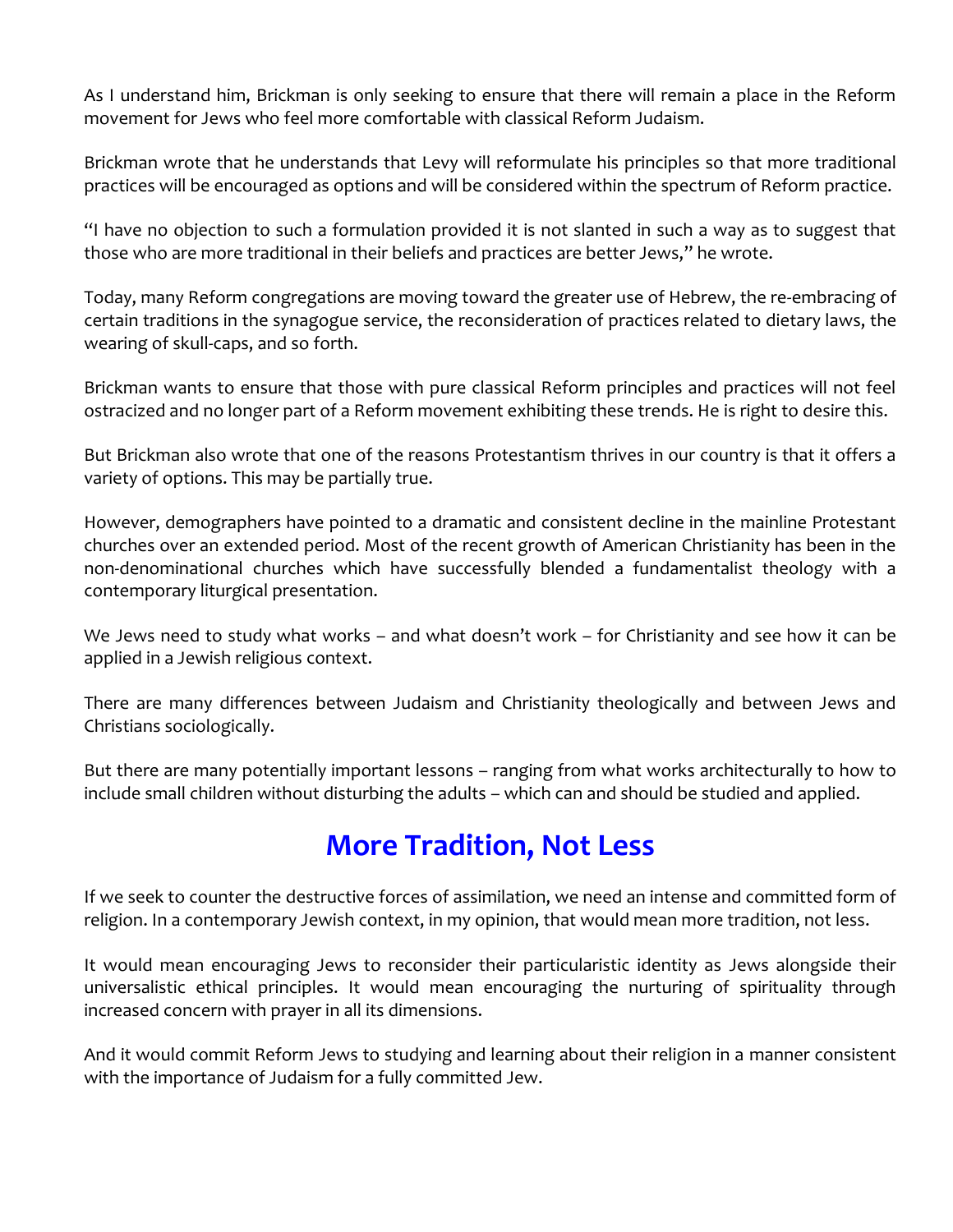As I understand him, Brickman is only seeking to ensure that there will remain a place in the Reform movement for Jews who feel more comfortable with classical Reform Judaism.

Brickman wrote that he understands that Levy will reformulate his principles so that more traditional practices will be encouraged as options and will be considered within the spectrum of Reform practice.

"I have no objection to such a formulation provided it is not slanted in such a way as to suggest that those who are more traditional in their beliefs and practices are better Jews," he wrote.

Today, many Reform congregations are moving toward the greater use of Hebrew, the re-embracing of certain traditions in the synagogue service, the reconsideration of practices related to dietary laws, the wearing of skull-caps, and so forth.

Brickman wants to ensure that those with pure classical Reform principles and practices will not feel ostracized and no longer part of a Reform movement exhibiting these trends. He is right to desire this.

But Brickman also wrote that one of the reasons Protestantism thrives in our country is that it offers a variety of options. This may be partially true.

However, demographers have pointed to a dramatic and consistent decline in the mainline Protestant churches over an extended period. Most of the recent growth of American Christianity has been in the non-denominational churches which have successfully blended a fundamentalist theology with a contemporary liturgical presentation.

We Jews need to study what works – and what doesn't work – for Christianity and see how it can be applied in a Jewish religious context.

There are many differences between Judaism and Christianity theologically and between Jews and Christians sociologically.

But there are many potentially important lessons – ranging from what works architecturally to how to include small children without disturbing the adults – which can and should be studied and applied.

## **More Tradition, Not Less**

If we seek to counter the destructive forces of assimilation, we need an intense and committed form of religion. In a contemporary Jewish context, in my opinion, that would mean more tradition, not less.

It would mean encouraging Jews to reconsider their particularistic identity as Jews alongside their universalistic ethical principles. It would mean encouraging the nurturing of spirituality through increased concern with prayer in all its dimensions.

And it would commit Reform Jews to studying and learning about their religion in a manner consistent with the importance of Judaism for a fully committed Jew.